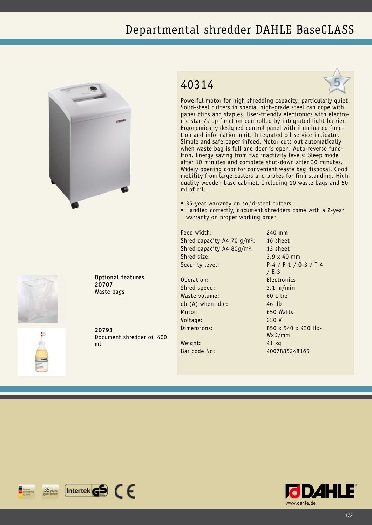## Departmental shredder DAHLE BaseCLASS



## 40314



Powerful motor for high shredding capacity, particularly quiet. Solid-steel cutters in special high-grade steel can cope with paper clips and staples. User-friendly electronics with electronic start/stop function controlled by integrated light barrier. Ergonomically designed control panel with illuminated function and information unit. Integrated oil service indicator. Simple and safe paper infeed. Motor cuts out automatically when waste bag is full and door is open. Auto-reverse function. Energy saving from two inactivity levels: Sleep mode after 10 minutes and complete shut-down after 30 minutes. Widely opening door for convenient waste bag disposal. Good mobility from large casters and brakes for firm standing. Highquality wooden base cabinet. Including 10 waste bags and 50 ml of oil.

- 35-year warranty on solid-steel cutters
- Handled correctly, document shredders come with a 2-year warranty on proper working order

Feed width: 240 mm Shred capacity A4 70 g/m<sup>2</sup>: 16 sheet Shred capacity A4 80g/m<sup>2</sup>: 13 sheet Shred size: 3,9 x 40 mm

Operation: Electronics Shred speed: 3,1 m/min Waste volume: 60 Litre db (A) when idle: 46 db Motor: 650 Watts Voltage: 230 V

Weight: 41 kg Bar code No: 4007885248165

Security level: P-4 / F-1 / O-3 / T-4 / E-3 Dimensions: 850 x 540 x 430 Hx-WxD/mm





**20793** Document shredder oil 400 ml

**Optional features**

**20707** Waste bags